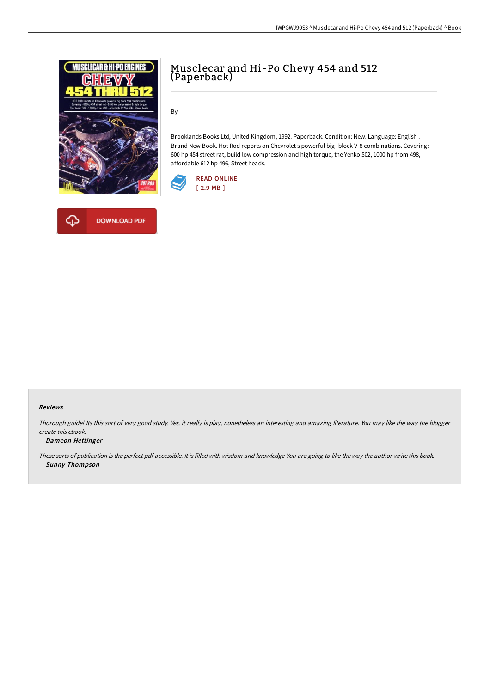



# Musclecar and Hi-Po Chevy 454 and 512 (Paperback)

By -

Brooklands Books Ltd, United Kingdom, 1992. Paperback. Condition: New. Language: English . Brand New Book. Hot Rod reports on Chevrolet s powerful big- block V-8 combinations. Covering: 600 hp 454 street rat, build low compression and high torque, the Yenko 502, 1000 hp from 498, affordable 612 hp 496, Street heads.



### Reviews

Thorough guide! Its this sort of very good study. Yes, it really is play, nonetheless an interesting and amazing literature. You may like the way the blogger create this ebook.

### -- Dameon Hettinger

These sorts of publication is the perfect pdf accessible. It is filled with wisdom and knowledge You are going to like the way the author write this book. -- Sunny Thompson